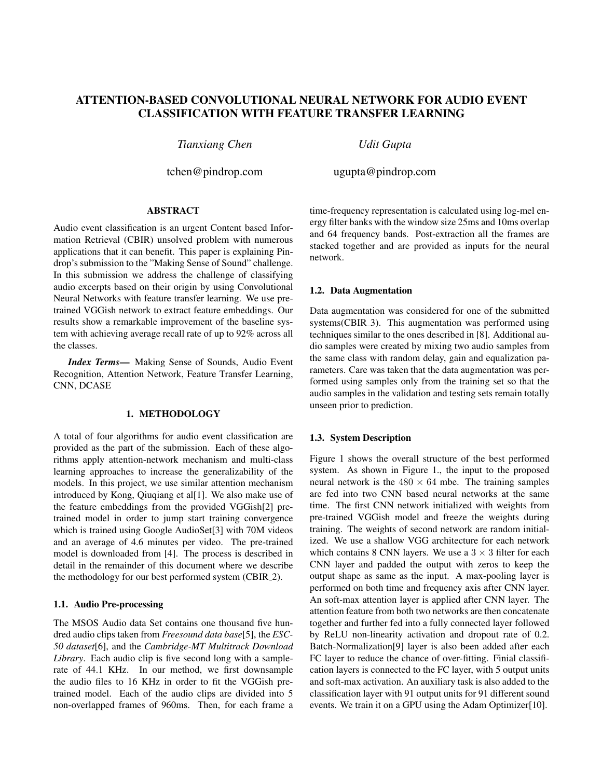# ATTENTION-BASED CONVOLUTIONAL NEURAL NETWORK FOR AUDIO EVENT CLASSIFICATION WITH FEATURE TRANSFER LEARNING

*Tianxiang Chen*

tchen@pindrop.com

## ABSTRACT

Audio event classification is an urgent Content based Information Retrieval (CBIR) unsolved problem with numerous applications that it can benefit. This paper is explaining Pindrop's submission to the "Making Sense of Sound" challenge. In this submission we address the challenge of classifying audio excerpts based on their origin by using Convolutional Neural Networks with feature transfer learning. We use pretrained VGGish network to extract feature embeddings. Our results show a remarkable improvement of the baseline system with achieving average recall rate of up to 92% across all the classes.

*Index Terms*— Making Sense of Sounds, Audio Event Recognition, Attention Network, Feature Transfer Learning, CNN, DCASE

## 1. METHODOLOGY

A total of four algorithms for audio event classification are provided as the part of the submission. Each of these algorithms apply attention-network mechanism and multi-class learning approaches to increase the generalizability of the models. In this project, we use similar attention mechanism introduced by Kong, Qiuqiang et al[1]. We also make use of the feature embeddings from the provided VGGish[2] pretrained model in order to jump start training convergence which is trained using Google AudioSet[3] with 70M videos and an average of 4.6 minutes per video. The pre-trained model is downloaded from [4]. The process is described in detail in the remainder of this document where we describe the methodology for our best performed system (CBIR 2).

## 1.1. Audio Pre-processing

The MSOS Audio data Set contains one thousand five hundred audio clips taken from *Freesound data base*[5], the *ESC-50 dataset*[6], and the *Cambridge-MT Multitrack Download Library*. Each audio clip is five second long with a samplerate of 44.1 KHz. In our method, we first downsample the audio files to 16 KHz in order to fit the VGGish pretrained model. Each of the audio clips are divided into 5 non-overlapped frames of 960ms. Then, for each frame a time-frequency representation is calculated using log-mel energy filter banks with the window size 25ms and 10ms overlap and 64 frequency bands. Post-extraction all the frames are stacked together and are provided as inputs for the neural network.

#### 1.2. Data Augmentation

*Udit Gupta*

ugupta@pindrop.com

Data augmentation was considered for one of the submitted systems(CBIR<sub>-3</sub>). This augmentation was performed using techniques similar to the ones described in [8]. Additional audio samples were created by mixing two audio samples from the same class with random delay, gain and equalization parameters. Care was taken that the data augmentation was performed using samples only from the training set so that the audio samples in the validation and testing sets remain totally unseen prior to prediction.

## 1.3. System Description

Figure 1 shows the overall structure of the best performed system. As shown in Figure 1., the input to the proposed neural network is the  $480 \times 64$  mbe. The training samples are fed into two CNN based neural networks at the same time. The first CNN network initialized with weights from pre-trained VGGish model and freeze the weights during training. The weights of second network are random initialized. We use a shallow VGG architecture for each network which contains 8 CNN layers. We use a  $3 \times 3$  filter for each CNN layer and padded the output with zeros to keep the output shape as same as the input. A max-pooling layer is performed on both time and frequency axis after CNN layer. An soft-max attention layer is applied after CNN layer. The attention feature from both two networks are then concatenate together and further fed into a fully connected layer followed by ReLU non-linearity activation and dropout rate of 0.2. Batch-Normalization[9] layer is also been added after each FC layer to reduce the chance of over-fitting. Finial classification layers is connected to the FC layer, with 5 output units and soft-max activation. An auxiliary task is also added to the classification layer with 91 output units for 91 different sound events. We train it on a GPU using the Adam Optimizer[10].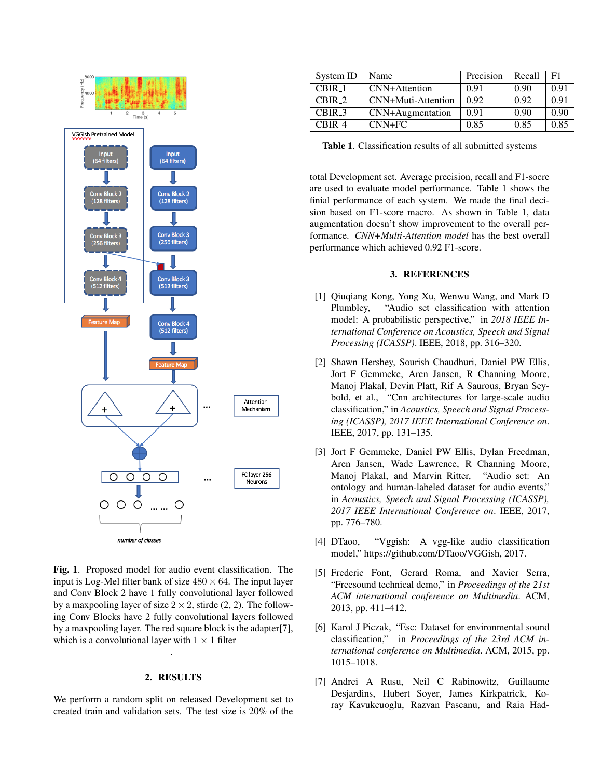

Fig. 1. Proposed model for audio event classification. The input is Log-Mel filter bank of size  $480 \times 64$ . The input layer and Conv Block 2 have 1 fully convolutional layer followed by a maxpooling layer of size  $2 \times 2$ , stirde (2, 2). The following Conv Blocks have 2 fully convolutional layers followed by a maxpooling layer. The red square block is the adapter[7], which is a convolutional layer with  $1 \times 1$  filter

## 2. RESULTS

.

We perform a random split on released Development set to created train and validation sets. The test size is 20% of the

| System ID | Name               | Precision | Recall | F1   |
|-----------|--------------------|-----------|--------|------|
| CBIR 1    | CNN+Attention      | 0.91      | 0.90   | 0.91 |
| CBIR 2    | CNN+Muti-Attention | 0.92      | 0.92   | 0.91 |
| CBIR 3    | CNN+Augmentation   | 0.91      | 0.90   | 0.90 |
| CBIR 4    | $CNN+FC$           | 0.85      | 0.85   | 0.85 |

Table 1. Classification results of all submitted systems

total Development set. Average precision, recall and F1-socre are used to evaluate model performance. Table 1 shows the finial performance of each system. We made the final decision based on F1-score macro. As shown in Table 1, data augmentation doesn't show improvement to the overall performance. *CNN+Multi-Attention model* has the best overall performance which achieved 0.92 F1-score.

#### 3. REFERENCES

- [1] Qiuqiang Kong, Yong Xu, Wenwu Wang, and Mark D Plumbley, "Audio set classification with attention model: A probabilistic perspective," in *2018 IEEE International Conference on Acoustics, Speech and Signal Processing (ICASSP)*. IEEE, 2018, pp. 316–320.
- [2] Shawn Hershey, Sourish Chaudhuri, Daniel PW Ellis, Jort F Gemmeke, Aren Jansen, R Channing Moore, Manoj Plakal, Devin Platt, Rif A Saurous, Bryan Seybold, et al., "Cnn architectures for large-scale audio classification," in *Acoustics, Speech and Signal Processing (ICASSP), 2017 IEEE International Conference on*. IEEE, 2017, pp. 131–135.
- [3] Jort F Gemmeke, Daniel PW Ellis, Dylan Freedman, Aren Jansen, Wade Lawrence, R Channing Moore, Manoj Plakal, and Marvin Ritter, "Audio set: An ontology and human-labeled dataset for audio events," in *Acoustics, Speech and Signal Processing (ICASSP), 2017 IEEE International Conference on*. IEEE, 2017, pp. 776–780.
- [4] DTaoo, "Vggish: A vgg-like audio classification model," https://github.com/DTaoo/VGGish, 2017.
- [5] Frederic Font, Gerard Roma, and Xavier Serra, "Freesound technical demo," in *Proceedings of the 21st ACM international conference on Multimedia*. ACM, 2013, pp. 411–412.
- [6] Karol J Piczak, "Esc: Dataset for environmental sound classification," in *Proceedings of the 23rd ACM international conference on Multimedia*. ACM, 2015, pp. 1015–1018.
- [7] Andrei A Rusu, Neil C Rabinowitz, Guillaume Desjardins, Hubert Soyer, James Kirkpatrick, Koray Kavukcuoglu, Razvan Pascanu, and Raia Had-